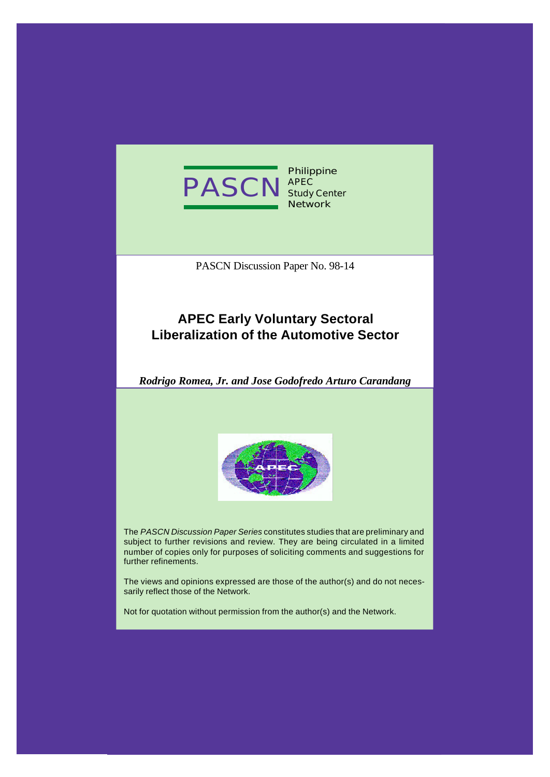

**Philippine APEC Study Center Network**

PASCN Discussion Paper No. 98-14

# **APEC Early Voluntary Sectoral Liberalization of the Automotive Sector**

*Rodrigo Romea, Jr. and Jose Godofredo Arturo Carandang*



The *PASCN Discussion Paper Series* constitutes studies that are preliminary and subject to further revisions and review. They are being circulated in a limited number of copies only for purposes of soliciting comments and suggestions for further refinements.

The views and opinions expressed are those of the author(s) and do not necessarily reflect those of the Network.

Not for quotation without permission from the author(s) and the Network.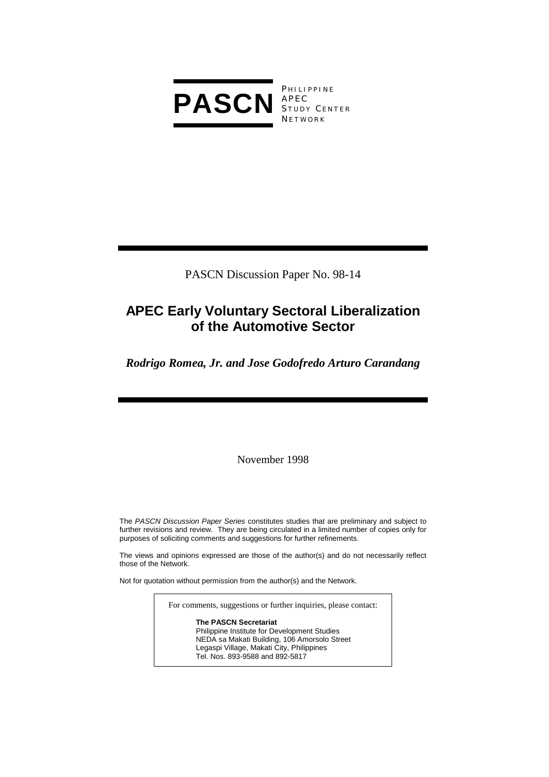

**PHILIPPINE** S TUDY C ENTER **NETWORK** 

PASCN Discussion Paper No. 98-14

# **APEC Early Voluntary Sectoral Liberalization of the Automotive Sector**

*Rodrigo Romea, Jr. and Jose Godofredo Arturo Carandang* 

November 1998

The *PASCN Discussion Paper Series* constitutes studies that are preliminary and subject to further revisions and review. They are being circulated in a limited number of copies only for purposes of soliciting comments and suggestions for further refinements.

The views and opinions expressed are those of the author(s) and do not necessarily reflect those of the Network.

Not for quotation without permission from the author(s) and the Network.

For comments, suggestions or further inquiries, please contact:

**The PASCN Secretariat**

Philippine Institute for Development Studies NEDA sa Makati Building, 106 Amorsolo Street Legaspi Village, Makati City, Philippines Tel. Nos. 893-9588 and 892-5817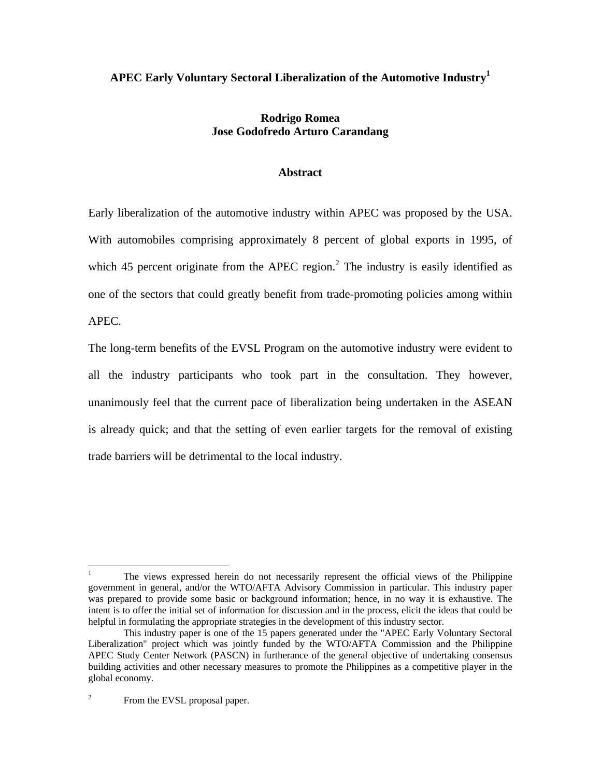# **APEC Early Voluntary Sectoral Liberalization of the Automotive Industry<sup>1</sup>**

## **Rodrigo Romea Jose Godofredo Arturo Carandang**

### **Abstract**

Early liberalization of the automotive industry within APEC was proposed by the USA. With automobiles comprising approximately 8 percent of global exports in 1995, of which 45 percent originate from the APEC region. $^2$  The industry is easily identified as one of the sectors that could greatly benefit from trade-promoting policies among within APEC.

The long-term benefits of the EVSL Program on the automotive industry were evident to all the industry participants who took part in the consultation. They however, unanimously feel that the current pace of liberalization being undertaken in the ASEAN is already quick; and that the setting of even earlier targets for the removal of existing trade barriers will be detrimental to the local industry.

 $\overline{a}$ 

<sup>1</sup> The views expressed herein do not necessarily represent the official views of the Philippine government in general, and/or the WTO/AFTA Advisory Commission in particular. This industry paper was prepared to provide some basic or background information; hence, in no way it is exhaustive. The intent is to offer the initial set of information for discussion and in the process, elicit the ideas that could be helpful in formulating the appropriate strategies in the development of this industry sector.

This industry paper is one of the 15 papers generated under the "APEC Early Voluntary Sectoral Liberalization" project which was jointly funded by the WTO/AFTA Commission and the Philippine APEC Study Center Network (PASCN) in furtherance of the general objective of undertaking consensus building activities and other necessary measures to promote the Philippines as a competitive player in the global economy.

<sup>2</sup> From the EVSL proposal paper.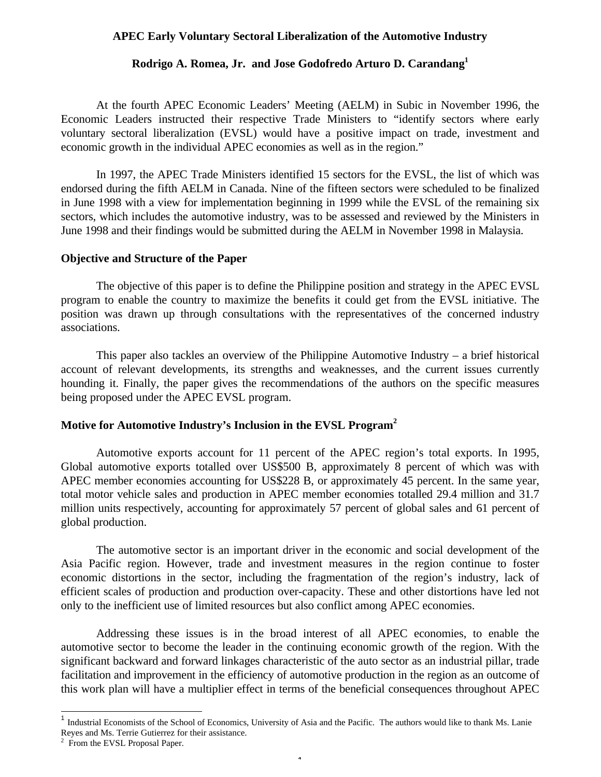### **APEC Early Voluntary Sectoral Liberalization of the Automotive Industry**

#### **Rodrigo A. Romea, Jr. and Jose Godofredo Arturo D. Carandang<sup>1</sup>**

At the fourth APEC Economic Leaders' Meeting (AELM) in Subic in November 1996, the Economic Leaders instructed their respective Trade Ministers to "identify sectors where early voluntary sectoral liberalization (EVSL) would have a positive impact on trade, investment and economic growth in the individual APEC economies as well as in the region."

In 1997, the APEC Trade Ministers identified 15 sectors for the EVSL, the list of which was endorsed during the fifth AELM in Canada. Nine of the fifteen sectors were scheduled to be finalized in June 1998 with a view for implementation beginning in 1999 while the EVSL of the remaining six sectors, which includes the automotive industry, was to be assessed and reviewed by the Ministers in June 1998 and their findings would be submitted during the AELM in November 1998 in Malaysia.

### **Objective and Structure of the Paper**

The objective of this paper is to define the Philippine position and strategy in the APEC EVSL program to enable the country to maximize the benefits it could get from the EVSL initiative. The position was drawn up through consultations with the representatives of the concerned industry associations.

This paper also tackles an overview of the Philippine Automotive Industry – a brief historical account of relevant developments, its strengths and weaknesses, and the current issues currently hounding it. Finally, the paper gives the recommendations of the authors on the specific measures being proposed under the APEC EVSL program.

### **Motive for Automotive Industry's Inclusion in the EVSL Program<sup>2</sup>**

Automotive exports account for 11 percent of the APEC region's total exports. In 1995, Global automotive exports totalled over US\$500 B, approximately 8 percent of which was with APEC member economies accounting for US\$228 B, or approximately 45 percent. In the same year, total motor vehicle sales and production in APEC member economies totalled 29.4 million and 31.7 million units respectively, accounting for approximately 57 percent of global sales and 61 percent of global production.

The automotive sector is an important driver in the economic and social development of the Asia Pacific region. However, trade and investment measures in the region continue to foster economic distortions in the sector, including the fragmentation of the region's industry, lack of efficient scales of production and production over-capacity. These and other distortions have led not only to the inefficient use of limited resources but also conflict among APEC economies.

Addressing these issues is in the broad interest of all APEC economies, to enable the automotive sector to become the leader in the continuing economic growth of the region. With the significant backward and forward linkages characteristic of the auto sector as an industrial pillar, trade facilitation and improvement in the efficiency of automotive production in the region as an outcome of this work plan will have a multiplier effect in terms of the beneficial consequences throughout APEC

-

<sup>1</sup> Industrial Economists of the School of Economics, University of Asia and the Pacific. The authors would like to thank Ms. Lanie Reyes and Ms. Terrie Gutierrez for their assistance.

<sup>&</sup>lt;sup>2</sup> From the EVSL Proposal Paper.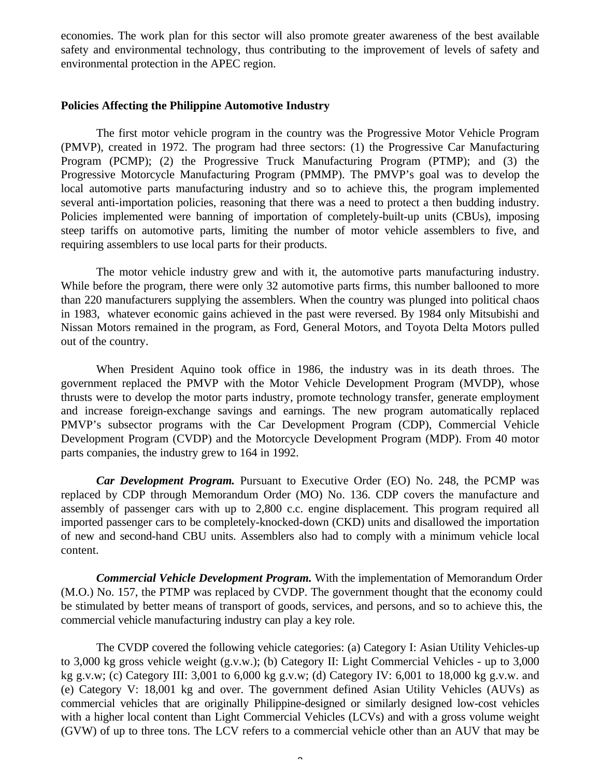economies. The work plan for this sector will also promote greater awareness of the best available safety and environmental technology, thus contributing to the improvement of levels of safety and environmental protection in the APEC region.

#### **Policies Affecting the Philippine Automotive Industry**

The first motor vehicle program in the country was the Progressive Motor Vehicle Program (PMVP), created in 1972. The program had three sectors: (1) the Progressive Car Manufacturing Program (PCMP); (2) the Progressive Truck Manufacturing Program (PTMP); and (3) the Progressive Motorcycle Manufacturing Program (PMMP). The PMVP's goal was to develop the local automotive parts manufacturing industry and so to achieve this, the program implemented several anti-importation policies, reasoning that there was a need to protect a then budding industry. Policies implemented were banning of importation of completely-built-up units (CBUs), imposing steep tariffs on automotive parts, limiting the number of motor vehicle assemblers to five, and requiring assemblers to use local parts for their products.

The motor vehicle industry grew and with it, the automotive parts manufacturing industry. While before the program, there were only 32 automotive parts firms, this number ballooned to more than 220 manufacturers supplying the assemblers. When the country was plunged into political chaos in 1983, whatever economic gains achieved in the past were reversed. By 1984 only Mitsubishi and Nissan Motors remained in the program, as Ford, General Motors, and Toyota Delta Motors pulled out of the country.

When President Aquino took office in 1986, the industry was in its death throes. The government replaced the PMVP with the Motor Vehicle Development Program (MVDP), whose thrusts were to develop the motor parts industry, promote technology transfer, generate employment and increase foreign-exchange savings and earnings. The new program automatically replaced PMVP's subsector programs with the Car Development Program (CDP), Commercial Vehicle Development Program (CVDP) and the Motorcycle Development Program (MDP). From 40 motor parts companies, the industry grew to 164 in 1992.

*Car Development Program.* Pursuant to Executive Order (EO) No. 248, the PCMP was replaced by CDP through Memorandum Order (MO) No. 136. CDP covers the manufacture and assembly of passenger cars with up to 2,800 c.c. engine displacement. This program required all imported passenger cars to be completely-knocked-down (CKD) units and disallowed the importation of new and second-hand CBU units. Assemblers also had to comply with a minimum vehicle local content.

*Commercial Vehicle Development Program.* With the implementation of Memorandum Order (M.O.) No. 157, the PTMP was replaced by CVDP. The government thought that the economy could be stimulated by better means of transport of goods, services, and persons, and so to achieve this, the commercial vehicle manufacturing industry can play a key role.

The CVDP covered the following vehicle categories: (a) Category I: Asian Utility Vehicles-up to 3,000 kg gross vehicle weight (g.v.w.); (b) Category II: Light Commercial Vehicles - up to 3,000 kg g.v.w; (c) Category III: 3,001 to 6,000 kg g.v.w; (d) Category IV: 6,001 to 18,000 kg g.v.w. and (e) Category V: 18,001 kg and over. The government defined Asian Utility Vehicles (AUVs) as commercial vehicles that are originally Philippine-designed or similarly designed low-cost vehicles with a higher local content than Light Commercial Vehicles (LCVs) and with a gross volume weight (GVW) of up to three tons. The LCV refers to a commercial vehicle other than an AUV that may be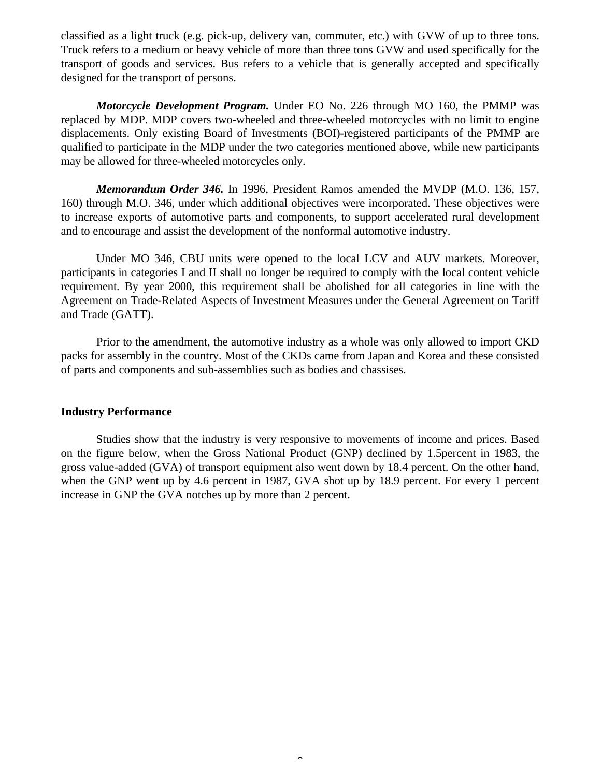classified as a light truck (e.g. pick-up, delivery van, commuter, etc.) with GVW of up to three tons. Truck refers to a medium or heavy vehicle of more than three tons GVW and used specifically for the transport of goods and services. Bus refers to a vehicle that is generally accepted and specifically designed for the transport of persons.

*Motorcycle Development Program.* Under EO No. 226 through MO 160, the PMMP was replaced by MDP. MDP covers two-wheeled and three-wheeled motorcycles with no limit to engine displacements. Only existing Board of Investments (BOI)-registered participants of the PMMP are qualified to participate in the MDP under the two categories mentioned above, while new participants may be allowed for three-wheeled motorcycles only.

*Memorandum Order 346.* In 1996, President Ramos amended the MVDP (M.O. 136, 157, 160) through M.O. 346, under which additional objectives were incorporated. These objectives were to increase exports of automotive parts and components, to support accelerated rural development and to encourage and assist the development of the nonformal automotive industry.

Under MO 346, CBU units were opened to the local LCV and AUV markets. Moreover, participants in categories I and II shall no longer be required to comply with the local content vehicle requirement. By year 2000, this requirement shall be abolished for all categories in line with the Agreement on Trade-Related Aspects of Investment Measures under the General Agreement on Tariff and Trade (GATT).

Prior to the amendment, the automotive industry as a whole was only allowed to import CKD packs for assembly in the country. Most of the CKDs came from Japan and Korea and these consisted of parts and components and sub-assemblies such as bodies and chassises.

#### **Industry Performance**

Studies show that the industry is very responsive to movements of income and prices. Based on the figure below, when the Gross National Product (GNP) declined by 1.5percent in 1983, the gross value-added (GVA) of transport equipment also went down by 18.4 percent. On the other hand, when the GNP went up by 4.6 percent in 1987, GVA shot up by 18.9 percent. For every 1 percent increase in GNP the GVA notches up by more than 2 percent.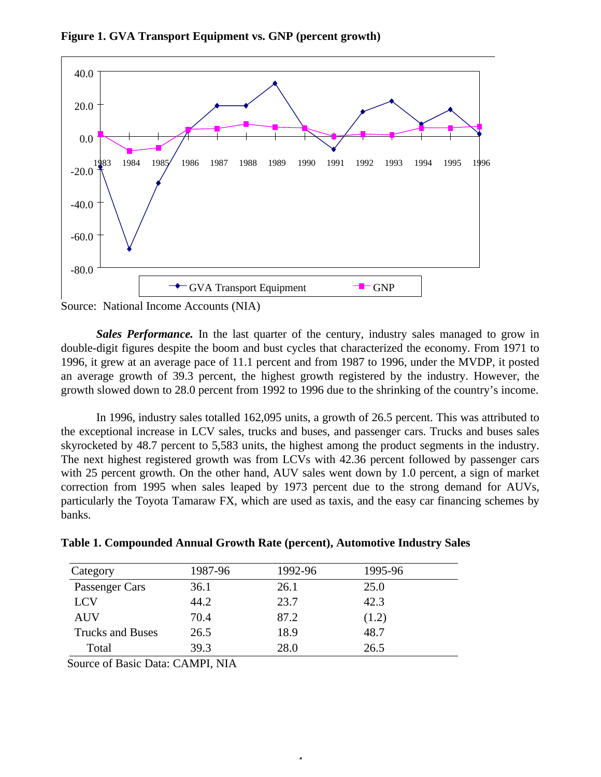

**Figure 1. GVA Transport Equipment vs. GNP (percent growth)**

Source: National Income Accounts (NIA)

*Sales Performance.* In the last quarter of the century, industry sales managed to grow in double-digit figures despite the boom and bust cycles that characterized the economy. From 1971 to 1996, it grew at an average pace of 11.1 percent and from 1987 to 1996, under the MVDP, it posted an average growth of 39.3 percent, the highest growth registered by the industry. However, the growth slowed down to 28.0 percent from 1992 to 1996 due to the shrinking of the country's income.

In 1996, industry sales totalled 162,095 units, a growth of 26.5 percent. This was attributed to the exceptional increase in LCV sales, trucks and buses, and passenger cars. Trucks and buses sales skyrocketed by 48.7 percent to 5,583 units, the highest among the product segments in the industry. The next highest registered growth was from LCVs with 42.36 percent followed by passenger cars with 25 percent growth. On the other hand, AUV sales went down by 1.0 percent, a sign of market correction from 1995 when sales leaped by 1973 percent due to the strong demand for AUVs, particularly the Toyota Tamaraw FX, which are used as taxis, and the easy car financing schemes by banks.

 $\overline{a}$ 

| Category                | 1987-96 | 1992-96 | 1995-96 |
|-------------------------|---------|---------|---------|
| Passenger Cars          | 36.1    | 26.1    | 25.0    |
| <b>LCV</b>              | 44.2    | 23.7    | 42.3    |
| <b>AUV</b>              | 70.4    | 87.2    | (1.2)   |
| <b>Trucks and Buses</b> | 26.5    | 18.9    | 48.7    |
| Total                   | 39.3    | 28.0    | 26.5    |

**Table 1. Compounded Annual Growth Rate (percent), Automotive Industry Sales**

Source of Basic Data: CAMPI, NIA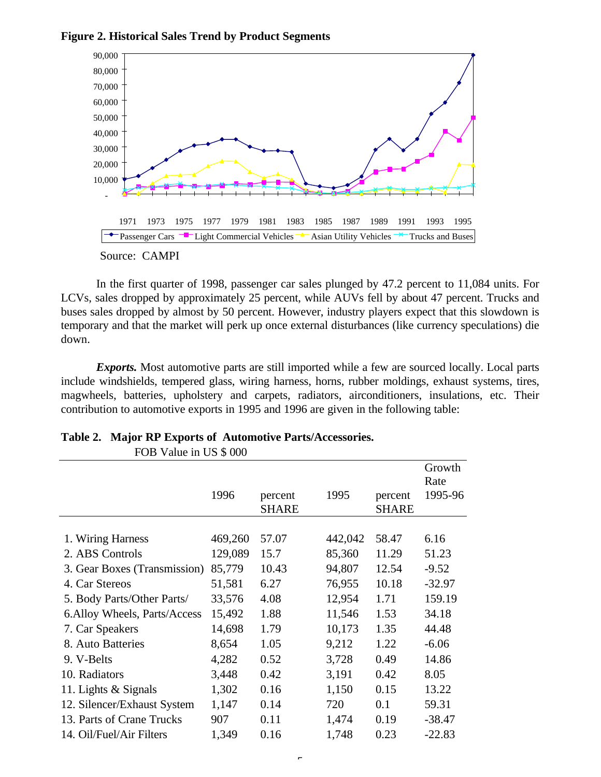

**Figure 2. Historical Sales Trend by Product Segments**

In the first quarter of 1998, passenger car sales plunged by 47.2 percent to 11,084 units. For LCVs, sales dropped by approximately 25 percent, while AUVs fell by about 47 percent. Trucks and buses sales dropped by almost by 50 percent. However, industry players expect that this slowdown is temporary and that the market will perk up once external disturbances (like currency speculations) die down.

*Exports.* Most automotive parts are still imported while a few are sourced locally. Local parts include windshields, tempered glass, wiring harness, horns, rubber moldings, exhaust systems, tires, magwheels, batteries, upholstery and carpets, radiators, airconditioners, insulations, etc. Their contribution to automotive exports in 1995 and 1996 are given in the following table:

| FOB Value in US \$ 000        |         |                         |         |                  |                           |
|-------------------------------|---------|-------------------------|---------|------------------|---------------------------|
|                               | 1996    | percent<br><b>SHARE</b> | 1995    | percent<br>SHARE | Growth<br>Rate<br>1995-96 |
|                               |         |                         |         |                  |                           |
| 1. Wiring Harness             | 469,260 | 57.07                   | 442,042 | 58.47            | 6.16                      |
| 2. ABS Controls               | 129,089 | 15.7                    | 85,360  | 11.29            | 51.23                     |
| 3. Gear Boxes (Transmission)  | 85,779  | 10.43                   | 94,807  | 12.54            | $-9.52$                   |
| 4. Car Stereos                | 51,581  | 6.27                    | 76,955  | 10.18            | $-32.97$                  |
| 5. Body Parts/Other Parts/    | 33,576  | 4.08                    | 12,954  | 1.71             | 159.19                    |
| 6. Alloy Wheels, Parts/Access | 15,492  | 1.88                    | 11,546  | 1.53             | 34.18                     |
| 7. Car Speakers               | 14,698  | 1.79                    | 10,173  | 1.35             | 44.48                     |
| 8. Auto Batteries             | 8,654   | 1.05                    | 9,212   | 1.22             | $-6.06$                   |
| 9. V-Belts                    | 4,282   | 0.52                    | 3,728   | 0.49             | 14.86                     |
| 10. Radiators                 | 3,448   | 0.42                    | 3,191   | 0.42             | 8.05                      |
| 11. Lights & Signals          | 1,302   | 0.16                    | 1,150   | 0.15             | 13.22                     |
| 12. Silencer/Exhaust System   | 1,147   | 0.14                    | 720     | 0.1              | 59.31                     |
| 13. Parts of Crane Trucks     | 907     | 0.11                    | 1,474   | 0.19             | $-38.47$                  |
| 14. Oil/Fuel/Air Filters      | 1,349   | 0.16                    | 1,748   | 0.23             | $-22.83$                  |

**Table 2. Major RP Exports of Automotive Parts/Accessories.**

Source: CAMPI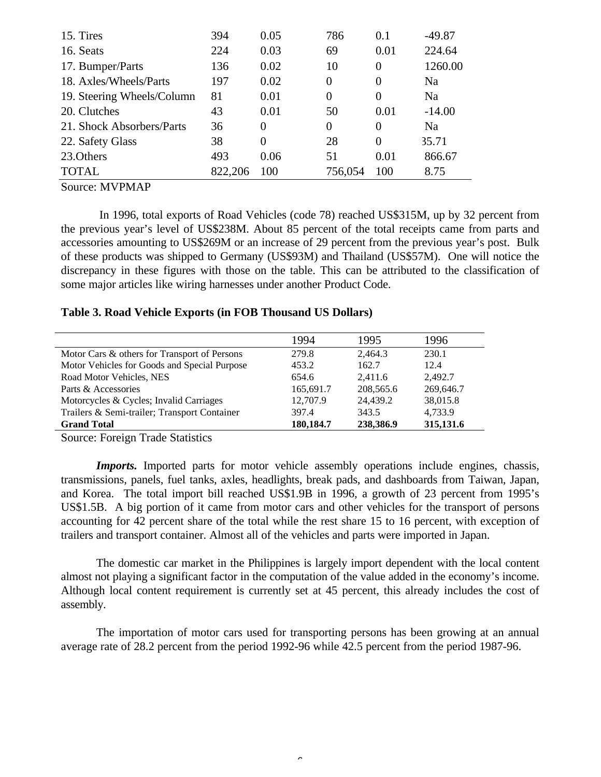| 15. Tires                  | 394     | 0.05     | 786            | 0.1            | $-49.87$ |
|----------------------------|---------|----------|----------------|----------------|----------|
| 16. Seats                  | 224     | 0.03     | 69             | 0.01           | 224.64   |
| 17. Bumper/Parts           | 136     | 0.02     | 10             | $\overline{0}$ | 1260.00  |
| 18. Axles/Wheels/Parts     | 197     | 0.02     | $\overline{0}$ | $\theta$       | Na       |
| 19. Steering Wheels/Column | 81      | 0.01     | $\Omega$       | $\Omega$       | Na       |
| 20. Clutches               | 43      | 0.01     | 50             | 0.01           | $-14.00$ |
| 21. Shock Absorbers/Parts  | 36      | $\theta$ | 0              | $\theta$       | Na       |
| 22. Safety Glass           | 38      | $\Omega$ | 28             | $\Omega$       | 35.71    |
| 23. Others                 | 493     | 0.06     | 51             | 0.01           | 866.67   |
| <b>TOTAL</b>               | 822.206 | 100      | 756,054        | 100            | 8.75     |

Source: MVPMAP

In 1996, total exports of Road Vehicles (code 78) reached US\$315M, up by 32 percent from the previous year's level of US\$238M. About 85 percent of the total receipts came from parts and accessories amounting to US\$269M or an increase of 29 percent from the previous year's post. Bulk of these products was shipped to Germany (US\$93M) and Thailand (US\$57M). One will notice the discrepancy in these figures with those on the table. This can be attributed to the classification of some major articles like wiring harnesses under another Product Code.

### **Table 3. Road Vehicle Exports (in FOB Thousand US Dollars)**

|                                              | 1994      | 1995      | 1996      |
|----------------------------------------------|-----------|-----------|-----------|
| Motor Cars & others for Transport of Persons | 279.8     | 2.464.3   | 230.1     |
| Motor Vehicles for Goods and Special Purpose | 453.2     | 162.7     | 12.4      |
| Road Motor Vehicles, NES                     | 654.6     | 2.411.6   | 2.492.7   |
| Parts & Accessories                          | 165,691.7 | 208,565.6 | 269,646.7 |
| Motorcycles & Cycles; Invalid Carriages      | 12,707.9  | 24,439.2  | 38,015.8  |
| Trailers & Semi-trailer; Transport Container | 397.4     | 343.5     | 4.733.9   |
| <b>Grand Total</b>                           | 180,184.7 | 238,386.9 | 315,131.6 |
|                                              |           |           |           |

Source: Foreign Trade Statistics

*Imports.* Imported parts for motor vehicle assembly operations include engines, chassis, transmissions, panels, fuel tanks, axles, headlights, break pads, and dashboards from Taiwan, Japan, and Korea. The total import bill reached US\$1.9B in 1996, a growth of 23 percent from 1995's US\$1.5B. A big portion of it came from motor cars and other vehicles for the transport of persons accounting for 42 percent share of the total while the rest share 15 to 16 percent, with exception of trailers and transport container. Almost all of the vehicles and parts were imported in Japan.

The domestic car market in the Philippines is largely import dependent with the local content almost not playing a significant factor in the computation of the value added in the economy's income. Although local content requirement is currently set at 45 percent, this already includes the cost of assembly.

The importation of motor cars used for transporting persons has been growing at an annual average rate of 28.2 percent from the period 1992-96 while 42.5 percent from the period 1987-96.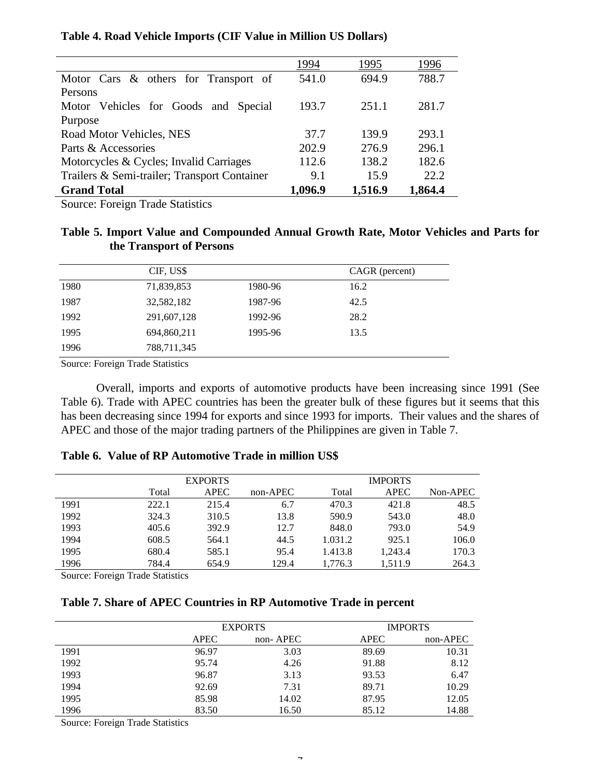|                                              | 1994    | 1995    | .996    |
|----------------------------------------------|---------|---------|---------|
| Motor Cars & others for Transport of         | 541.0   | 694.9   | 788.7   |
| Persons                                      |         |         |         |
| Motor Vehicles for Goods and Special         | 193.7   | 251.1   | 281.7   |
| Purpose                                      |         |         |         |
| Road Motor Vehicles, NES                     | 37.7    | 139.9   | 293.1   |
| Parts & Accessories                          | 202.9   | 276.9   | 296.1   |
| Motorcycles & Cycles; Invalid Carriages      | 112.6   | 138.2   | 182.6   |
| Trailers & Semi-trailer; Transport Container | 9.1     | 15.9    | 22.2    |
| <b>Grand Total</b>                           | 1,096.9 | 1,516.9 | 1,864.4 |

## **Table 4. Road Vehicle Imports (CIF Value in Million US Dollars)**

Source: Foreign Trade Statistics

# **Table 5. Import Value and Compounded Annual Growth Rate, Motor Vehicles and Parts for the Transport of Persons**

|      | CIF, US\$   |         | CAGR (percent) |
|------|-------------|---------|----------------|
| 1980 | 71,839,853  | 1980-96 | 16.2           |
| 1987 | 32,582,182  | 1987-96 | 42.5           |
| 1992 | 291,607,128 | 1992-96 | 28.2           |
| 1995 | 694,860,211 | 1995-96 | 13.5           |
| 1996 | 788,711,345 |         |                |

Source: Foreign Trade Statistics

Overall, imports and exports of automotive products have been increasing since 1991 (See Table 6). Trade with APEC countries has been the greater bulk of these figures but it seems that this has been decreasing since 1994 for exports and since 1993 for imports. Their values and the shares of APEC and those of the major trading partners of the Philippines are given in Table 7.

## **Table 6. Value of RP Automotive Trade in million US\$**

|      |       | <b>EXPORTS</b> |          |         | <b>IMPORTS</b> |          |
|------|-------|----------------|----------|---------|----------------|----------|
|      | Total | <b>APEC</b>    | non-APEC | Total   | <b>APEC</b>    | Non-APEC |
| 1991 | 222.1 | 215.4          | 6.7      | 470.3   | 421.8          | 48.5     |
| 1992 | 324.3 | 310.5          | 13.8     | 590.9   | 543.0          | 48.0     |
| 1993 | 405.6 | 392.9          | 12.7     | 848.0   | 793.0          | 54.9     |
| 1994 | 608.5 | 564.1          | 44.5     | 1.031.2 | 925.1          | 106.0    |
| 1995 | 680.4 | 585.1          | 95.4     | 1.413.8 | 1,243.4        | 170.3    |
| 1996 | 784.4 | 654.9          | 129.4    | 1.776.3 | 1.511.9        | 264.3    |

Source: Foreign Trade Statistics

### **Table 7. Share of APEC Countries in RP Automotive Trade in percent**

|      |             | <b>EXPORTS</b> |             | <b>IMPORTS</b> |  |  |
|------|-------------|----------------|-------------|----------------|--|--|
|      | <b>APEC</b> | non-APEC       | <b>APEC</b> | non-APEC       |  |  |
| 1991 | 96.97       | 3.03           | 89.69       | 10.31          |  |  |
| 1992 | 95.74       | 4.26           | 91.88       | 8.12           |  |  |
| 1993 | 96.87       | 3.13           | 93.53       | 6.47           |  |  |
| 1994 | 92.69       | 7.31           | 89.71       | 10.29          |  |  |
| 1995 | 85.98       | 14.02          | 87.95       | 12.05          |  |  |
| 1996 | 83.50       | 16.50          | 85.12       | 14.88          |  |  |

Source: Foreign Trade Statistics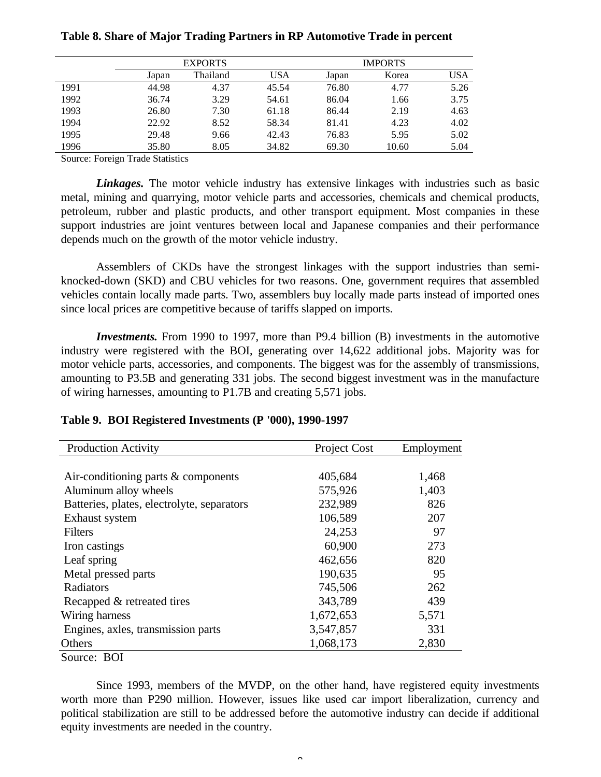|      | <b>EXPORTS</b> |          | <b>IMPORTS</b> |       |       |            |
|------|----------------|----------|----------------|-------|-------|------------|
|      | Japan          | Thailand | USA            | Japan | Korea | <b>USA</b> |
| 1991 | 44.98          | 4.37     | 45.54          | 76.80 | 4.77  | 5.26       |
| 1992 | 36.74          | 3.29     | 54.61          | 86.04 | 1.66  | 3.75       |
| 1993 | 26.80          | 7.30     | 61.18          | 86.44 | 2.19  | 4.63       |
| 1994 | 22.92          | 8.52     | 58.34          | 81.41 | 4.23  | 4.02       |
| 1995 | 29.48          | 9.66     | 42.43          | 76.83 | 5.95  | 5.02       |
| 1996 | 35.80          | 8.05     | 34.82          | 69.30 | 10.60 | 5.04       |

## **Table 8. Share of Major Trading Partners in RP Automotive Trade in percent**

Source: Foreign Trade Statistics

*Linkages.* The motor vehicle industry has extensive linkages with industries such as basic metal, mining and quarrying, motor vehicle parts and accessories, chemicals and chemical products, petroleum, rubber and plastic products, and other transport equipment. Most companies in these support industries are joint ventures between local and Japanese companies and their performance depends much on the growth of the motor vehicle industry.

Assemblers of CKDs have the strongest linkages with the support industries than semiknocked-down (SKD) and CBU vehicles for two reasons. One, government requires that assembled vehicles contain locally made parts. Two, assemblers buy locally made parts instead of imported ones since local prices are competitive because of tariffs slapped on imports.

*Investments.* From 1990 to 1997, more than P9.4 billion (B) investments in the automotive industry were registered with the BOI, generating over 14,622 additional jobs. Majority was for motor vehicle parts, accessories, and components. The biggest was for the assembly of transmissions, amounting to P3.5B and generating 331 jobs. The second biggest investment was in the manufacture of wiring harnesses, amounting to P1.7B and creating 5,571 jobs.

| <b>Production Activity</b>                 | Project Cost | Employment |
|--------------------------------------------|--------------|------------|
|                                            |              |            |
| Air-conditioning parts $&$ components      | 405,684      | 1,468      |
| Aluminum alloy wheels                      | 575,926      | 1,403      |
| Batteries, plates, electrolyte, separators | 232,989      | 826        |
| Exhaust system                             | 106,589      | 207        |
| Filters                                    | 24,253       | 97         |
| Iron castings                              | 60,900       | 273        |
| Leaf spring                                | 462,656      | 820        |
| Metal pressed parts                        | 190,635      | 95         |
| Radiators                                  | 745,506      | 262        |
| Recapped & retreated tires                 | 343,789      | 439        |
| Wiring harness                             | 1,672,653    | 5,571      |
| Engines, axles, transmission parts         | 3,547,857    | 331        |
| Others                                     | 1,068,173    | 2,830      |
| Source: BOI                                |              |            |

### **Table 9. BOI Registered Investments (P '000), 1990-1997**

Since 1993, members of the MVDP, on the other hand, have registered equity investments worth more than P290 million. However, issues like used car import liberalization, currency and political stabilization are still to be addressed before the automotive industry can decide if additional equity investments are needed in the country.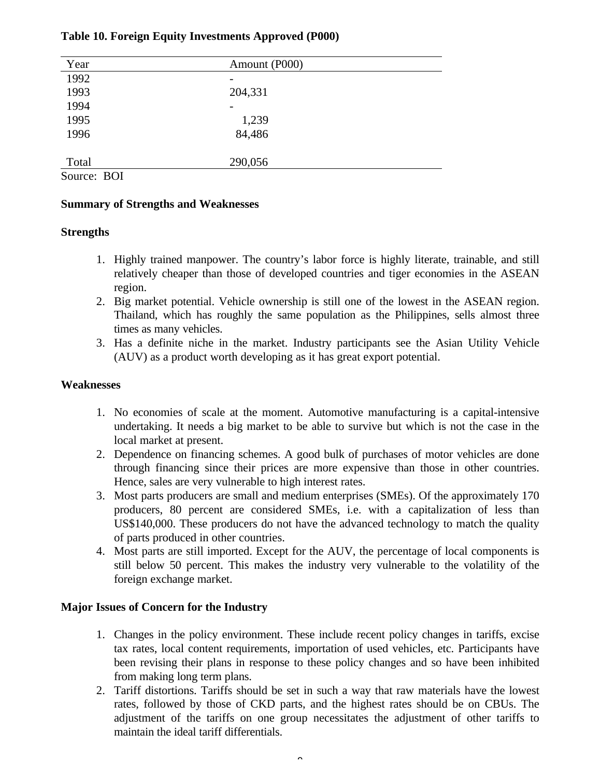| Year  | Amount (P000) |  |
|-------|---------------|--|
| 1992  |               |  |
| 1993  | 204,331       |  |
| 1994  |               |  |
| 1995  | 1,239         |  |
| 1996  | 84,486        |  |
| Total | 290,056       |  |

Source: BOI

# **Summary of Strengths and Weaknesses**

# **Strengths**

- 1. Highly trained manpower. The country's labor force is highly literate, trainable, and still relatively cheaper than those of developed countries and tiger economies in the ASEAN region.
- 2. Big market potential. Vehicle ownership is still one of the lowest in the ASEAN region. Thailand, which has roughly the same population as the Philippines, sells almost three times as many vehicles.
- 3. Has a definite niche in the market. Industry participants see the Asian Utility Vehicle (AUV) as a product worth developing as it has great export potential.

# **Weaknesses**

- 1. No economies of scale at the moment. Automotive manufacturing is a capital-intensive undertaking. It needs a big market to be able to survive but which is not the case in the local market at present.
- 2. Dependence on financing schemes. A good bulk of purchases of motor vehicles are done through financing since their prices are more expensive than those in other countries. Hence, sales are very vulnerable to high interest rates.
- 3. Most parts producers are small and medium enterprises (SMEs). Of the approximately 170 producers, 80 percent are considered SMEs, i.e. with a capitalization of less than US\$140,000. These producers do not have the advanced technology to match the quality of parts produced in other countries.
- 4. Most parts are still imported. Except for the AUV, the percentage of local components is still below 50 percent. This makes the industry very vulnerable to the volatility of the foreign exchange market.

# **Major Issues of Concern for the Industry**

- 1. Changes in the policy environment. These include recent policy changes in tariffs, excise tax rates, local content requirements, importation of used vehicles, etc. Participants have been revising their plans in response to these policy changes and so have been inhibited from making long term plans.
- 2. Tariff distortions. Tariffs should be set in such a way that raw materials have the lowest rates, followed by those of CKD parts, and the highest rates should be on CBUs. The adjustment of the tariffs on one group necessitates the adjustment of other tariffs to maintain the ideal tariff differentials.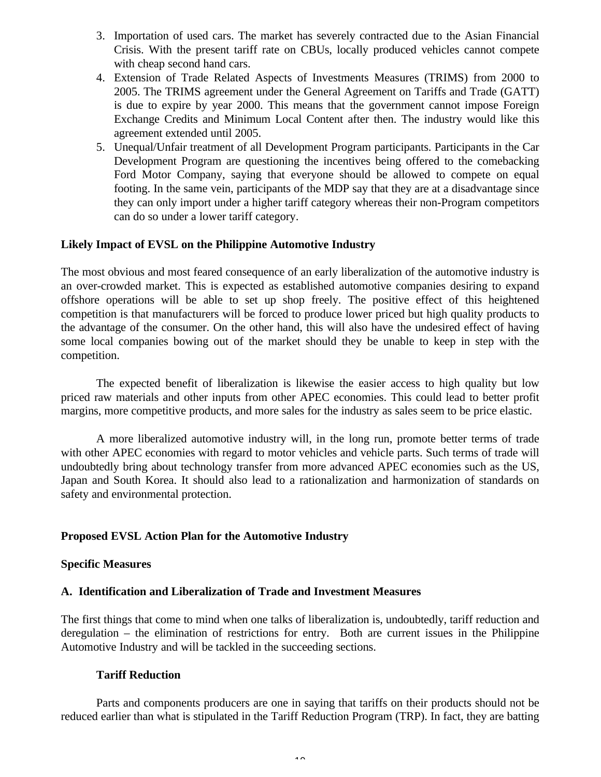- 3. Importation of used cars. The market has severely contracted due to the Asian Financial Crisis. With the present tariff rate on CBUs, locally produced vehicles cannot compete with cheap second hand cars.
- 4. Extension of Trade Related Aspects of Investments Measures (TRIMS) from 2000 to 2005. The TRIMS agreement under the General Agreement on Tariffs and Trade (GATT) is due to expire by year 2000. This means that the government cannot impose Foreign Exchange Credits and Minimum Local Content after then. The industry would like this agreement extended until 2005.
- 5. Unequal/Unfair treatment of all Development Program participants. Participants in the Car Development Program are questioning the incentives being offered to the comebacking Ford Motor Company, saying that everyone should be allowed to compete on equal footing. In the same vein, participants of the MDP say that they are at a disadvantage since they can only import under a higher tariff category whereas their non-Program competitors can do so under a lower tariff category.

## **Likely Impact of EVSL on the Philippine Automotive Industry**

The most obvious and most feared consequence of an early liberalization of the automotive industry is an over-crowded market. This is expected as established automotive companies desiring to expand offshore operations will be able to set up shop freely. The positive effect of this heightened competition is that manufacturers will be forced to produce lower priced but high quality products to the advantage of the consumer. On the other hand, this will also have the undesired effect of having some local companies bowing out of the market should they be unable to keep in step with the competition.

The expected benefit of liberalization is likewise the easier access to high quality but low priced raw materials and other inputs from other APEC economies. This could lead to better profit margins, more competitive products, and more sales for the industry as sales seem to be price elastic.

A more liberalized automotive industry will, in the long run, promote better terms of trade with other APEC economies with regard to motor vehicles and vehicle parts. Such terms of trade will undoubtedly bring about technology transfer from more advanced APEC economies such as the US, Japan and South Korea. It should also lead to a rationalization and harmonization of standards on safety and environmental protection.

### **Proposed EVSL Action Plan for the Automotive Industry**

### **Specific Measures**

### **A. Identification and Liberalization of Trade and Investment Measures**

The first things that come to mind when one talks of liberalization is, undoubtedly, tariff reduction and deregulation – the elimination of restrictions for entry. Both are current issues in the Philippine Automotive Industry and will be tackled in the succeeding sections.

### **Tariff Reduction**

Parts and components producers are one in saying that tariffs on their products should not be reduced earlier than what is stipulated in the Tariff Reduction Program (TRP). In fact, they are batting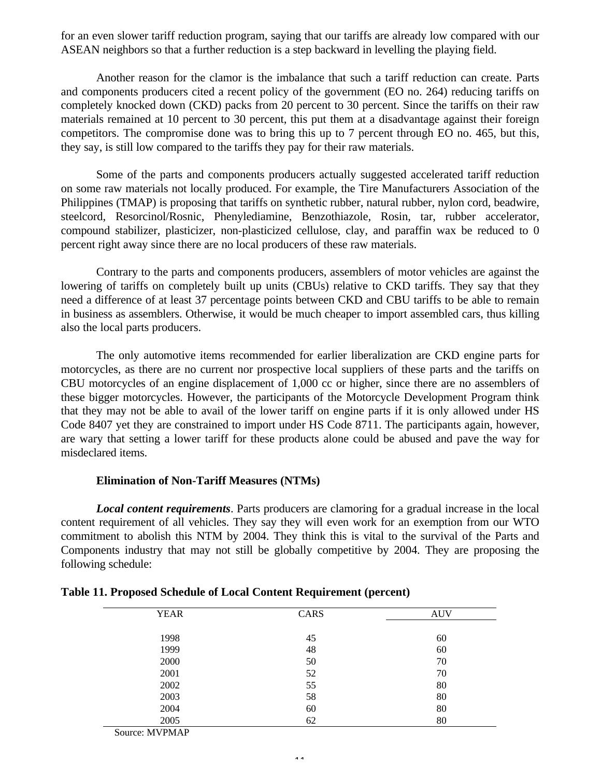for an even slower tariff reduction program, saying that our tariffs are already low compared with our ASEAN neighbors so that a further reduction is a step backward in levelling the playing field.

Another reason for the clamor is the imbalance that such a tariff reduction can create. Parts and components producers cited a recent policy of the government (EO no. 264) reducing tariffs on completely knocked down (CKD) packs from 20 percent to 30 percent. Since the tariffs on their raw materials remained at 10 percent to 30 percent, this put them at a disadvantage against their foreign competitors. The compromise done was to bring this up to 7 percent through EO no. 465, but this, they say, is still low compared to the tariffs they pay for their raw materials.

Some of the parts and components producers actually suggested accelerated tariff reduction on some raw materials not locally produced. For example, the Tire Manufacturers Association of the Philippines (TMAP) is proposing that tariffs on synthetic rubber, natural rubber, nylon cord, beadwire, steelcord, Resorcinol/Rosnic, Phenylediamine, Benzothiazole, Rosin, tar, rubber accelerator, compound stabilizer, plasticizer, non-plasticized cellulose, clay, and paraffin wax be reduced to 0 percent right away since there are no local producers of these raw materials.

Contrary to the parts and components producers, assemblers of motor vehicles are against the lowering of tariffs on completely built up units (CBUs) relative to CKD tariffs. They say that they need a difference of at least 37 percentage points between CKD and CBU tariffs to be able to remain in business as assemblers. Otherwise, it would be much cheaper to import assembled cars, thus killing also the local parts producers.

The only automotive items recommended for earlier liberalization are CKD engine parts for motorcycles, as there are no current nor prospective local suppliers of these parts and the tariffs on CBU motorcycles of an engine displacement of 1,000 cc or higher, since there are no assemblers of these bigger motorcycles. However, the participants of the Motorcycle Development Program think that they may not be able to avail of the lower tariff on engine parts if it is only allowed under HS Code 8407 yet they are constrained to import under HS Code 8711. The participants again, however, are wary that setting a lower tariff for these products alone could be abused and pave the way for misdeclared items.

### **Elimination of Non-Tariff Measures (NTMs)**

*Local content requirements*. Parts producers are clamoring for a gradual increase in the local content requirement of all vehicles. They say they will even work for an exemption from our WTO commitment to abolish this NTM by 2004. They think this is vital to the survival of the Parts and Components industry that may not still be globally competitive by 2004. They are proposing the following schedule:

| <b>YEAR</b> | CARS | <b>AUV</b> |
|-------------|------|------------|
|             |      |            |
| 1998        | 45   | 60         |
| 1999        | 48   | 60         |
| 2000        | 50   | 70         |
| 2001        | 52   | 70         |
| 2002        | 55   | 80         |
| 2003        | 58   | 80         |
| 2004        | 60   | 80         |
| 2005        | 62   | 80         |
|             |      |            |

| Table 11. Proposed Schedule of Local Content Requirement (percent) |  |  |
|--------------------------------------------------------------------|--|--|
|--------------------------------------------------------------------|--|--|

Source: MVPMAP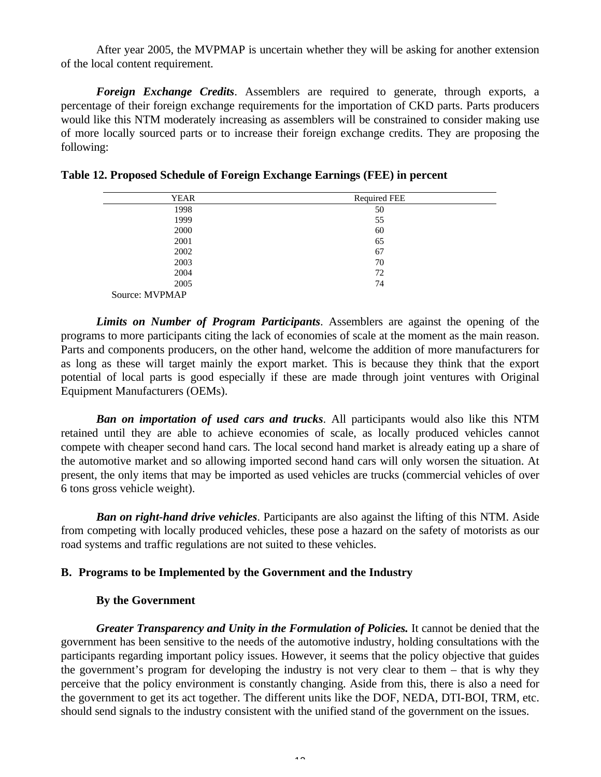After year 2005, the MVPMAP is uncertain whether they will be asking for another extension of the local content requirement.

*Foreign Exchange Credits*. Assemblers are required to generate, through exports, a percentage of their foreign exchange requirements for the importation of CKD parts. Parts producers would like this NTM moderately increasing as assemblers will be constrained to consider making use of more locally sourced parts or to increase their foreign exchange credits. They are proposing the following:

| <b>YEAR</b>    | <b>Required FEE</b> |  |
|----------------|---------------------|--|
| 1998           | 50                  |  |
| 1999           | 55                  |  |
| 2000           | 60                  |  |
| 2001           | 65                  |  |
| 2002           | 67                  |  |
| 2003           | 70                  |  |
| 2004           | 72                  |  |
| 2005           | 74                  |  |
| Source: MVPMAP |                     |  |

**Table 12. Proposed Schedule of Foreign Exchange Earnings (FEE) in percent**

*Limits on Number of Program Participants*. Assemblers are against the opening of the programs to more participants citing the lack of economies of scale at the moment as the main reason. Parts and components producers, on the other hand, welcome the addition of more manufacturers for as long as these will target mainly the export market. This is because they think that the export potential of local parts is good especially if these are made through joint ventures with Original Equipment Manufacturers (OEMs).

*Ban on importation of used cars and trucks*. All participants would also like this NTM retained until they are able to achieve economies of scale, as locally produced vehicles cannot compete with cheaper second hand cars. The local second hand market is already eating up a share of the automotive market and so allowing imported second hand cars will only worsen the situation. At present, the only items that may be imported as used vehicles are trucks (commercial vehicles of over 6 tons gross vehicle weight).

*Ban on right-hand drive vehicles*. Participants are also against the lifting of this NTM. Aside from competing with locally produced vehicles, these pose a hazard on the safety of motorists as our road systems and traffic regulations are not suited to these vehicles.

### **B. Programs to be Implemented by the Government and the Industry**

### **By the Government**

*Greater Transparency and Unity in the Formulation of Policies.* It cannot be denied that the government has been sensitive to the needs of the automotive industry, holding consultations with the participants regarding important policy issues. However, it seems that the policy objective that guides the government's program for developing the industry is not very clear to them – that is why they perceive that the policy environment is constantly changing. Aside from this, there is also a need for the government to get its act together. The different units like the DOF, NEDA, DTI-BOI, TRM, etc. should send signals to the industry consistent with the unified stand of the government on the issues.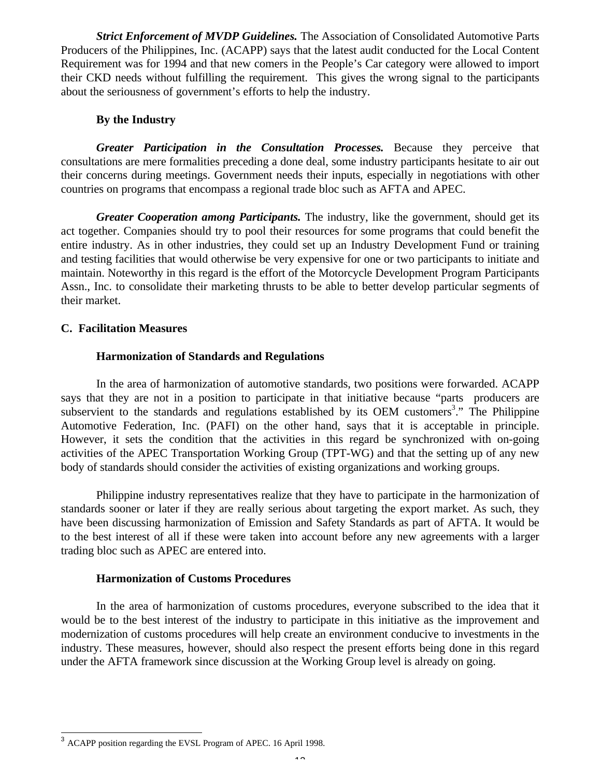*Strict Enforcement of MVDP Guidelines.* The Association of Consolidated Automotive Parts Producers of the Philippines, Inc. (ACAPP) says that the latest audit conducted for the Local Content Requirement was for 1994 and that new comers in the People's Car category were allowed to import their CKD needs without fulfilling the requirement. This gives the wrong signal to the participants about the seriousness of government's efforts to help the industry.

## **By the Industry**

*Greater Participation in the Consultation Processes.* Because they perceive that consultations are mere formalities preceding a done deal, some industry participants hesitate to air out their concerns during meetings. Government needs their inputs, especially in negotiations with other countries on programs that encompass a regional trade bloc such as AFTA and APEC.

*Greater Cooperation among Participants.* The industry, like the government, should get its act together. Companies should try to pool their resources for some programs that could benefit the entire industry. As in other industries, they could set up an Industry Development Fund or training and testing facilities that would otherwise be very expensive for one or two participants to initiate and maintain. Noteworthy in this regard is the effort of the Motorcycle Development Program Participants Assn., Inc. to consolidate their marketing thrusts to be able to better develop particular segments of their market.

## **C. Facilitation Measures**

# **Harmonization of Standards and Regulations**

In the area of harmonization of automotive standards, two positions were forwarded. ACAPP says that they are not in a position to participate in that initiative because "parts producers are subservient to the standards and regulations established by its OEM customers<sup>3</sup>." The Philippine Automotive Federation, Inc. (PAFI) on the other hand, says that it is acceptable in principle. However, it sets the condition that the activities in this regard be synchronized with on-going activities of the APEC Transportation Working Group (TPT-WG) and that the setting up of any new body of standards should consider the activities of existing organizations and working groups.

Philippine industry representatives realize that they have to participate in the harmonization of standards sooner or later if they are really serious about targeting the export market. As such, they have been discussing harmonization of Emission and Safety Standards as part of AFTA. It would be to the best interest of all if these were taken into account before any new agreements with a larger trading bloc such as APEC are entered into.

## **Harmonization of Customs Procedures**

In the area of harmonization of customs procedures, everyone subscribed to the idea that it would be to the best interest of the industry to participate in this initiative as the improvement and modernization of customs procedures will help create an environment conducive to investments in the industry. These measures, however, should also respect the present efforts being done in this regard under the AFTA framework since discussion at the Working Group level is already on going.

<sup>&</sup>lt;sup>3</sup> ACAPP position regarding the EVSL Program of APEC. 16 April 1998.